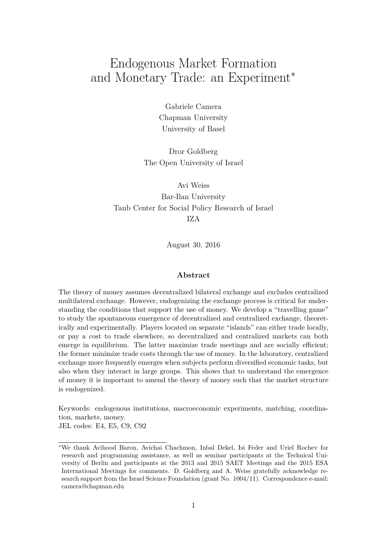# Endogenous Market Formation and Monetary Trade: an Experiment<sup>∗</sup>

Gabriele Camera Chapman University University of Basel

Dror Goldberg The Open University of Israel

Avi Weiss Bar-Ilan University Taub Center for Social Policy Research of Israel IZA

August 30, 2016

#### **Abstract**

The theory of money assumes decentralized bilateral exchange and excludes centralized multilateral exchange. However, endogenizing the exchange process is critical for understanding the conditions that support the use of money. We develop a "travelling game" to study the spontaneous emergence of decentralized and centralized exchange, theoretically and experimentally. Players located on separate "islands" can either trade locally, or pay a cost to trade elsewhere, so decentralized and centralized markets can both emerge in equilibrium. The latter maximize trade meetings and are socially efficient; the former minimize trade costs through the use of money. In the laboratory, centralized exchange more frequently emerges when subjects perform diversified economic tasks, but also when they interact in large groups. This shows that to understand the emergence of money it is important to amend the theory of money such that the market structure is endogenized.

Keywords: endogenous institutions, macroeconomic experiments, matching, coordination, markets, money.

JEL codes: E4, E5, C9, C92

<sup>∗</sup>We thank Avihood Baron, Avichai Chachmon, Inbal Dekel, Isi Feder and Uriel Rochev for research and programming assistance, as well as seminar participants at the Technical University of Berlin and participants at the 2013 and 2015 SAET Meetings and the 2015 ESA International Meetings for comments. D. Goldberg and A. Weiss gratefully acknowledge research support from the Israel Science Foundation (grant No. 1004/11). Correspondence e-mail: camera@chapman.edu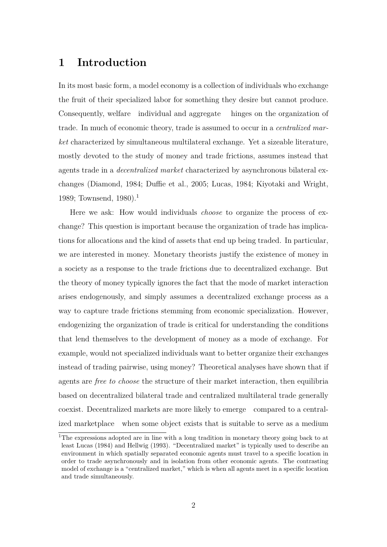## **1 Introduction**

In its most basic form, a model economy is a collection of individuals who exchange the fruit of their specialized labor for something they desire but cannot produce. Consequently, welfare individual and aggregate hinges on the organization of trade. In much of economic theory, trade is assumed to occur in a *centralized market* characterized by simultaneous multilateral exchange. Yet a sizeable literature, mostly devoted to the study of money and trade frictions, assumes instead that agents trade in a *decentralized market* characterized by asynchronous bilateral exchanges (Diamond, 1984; Duffie et al., 2005; Lucas, 1984; Kiyotaki and Wright, 1989; Townsend, 1980).<sup>1</sup>

Here we ask: How would individuals *choose* to organize the process of exchange? This question is important because the organization of trade has implications for allocations and the kind of assets that end up being traded. In particular, we are interested in money. Monetary theorists justify the existence of money in a society as a response to the trade frictions due to decentralized exchange. But the theory of money typically ignores the fact that the mode of market interaction arises endogenously, and simply assumes a decentralized exchange process as a way to capture trade frictions stemming from economic specialization. However, endogenizing the organization of trade is critical for understanding the conditions that lend themselves to the development of money as a mode of exchange. For example, would not specialized individuals want to better organize their exchanges instead of trading pairwise, using money? Theoretical analyses have shown that if agents are *free to choose* the structure of their market interaction, then equilibria based on decentralized bilateral trade and centralized multilateral trade generally coexist. Decentralized markets are more likely to emerge compared to a centralized marketplace when some object exists that is suitable to serve as a medium

<sup>&</sup>lt;sup>1</sup>The expressions adopted are in line with a long tradition in monetary theory going back to at least Lucas (1984) and Hellwig (1993). "Decentralized market" is typically used to describe an environment in which spatially separated economic agents must travel to a specific location in order to trade asynchronously and in isolation from other economic agents. The contrasting model of exchange is a "centralized market," which is when all agents meet in a specific location and trade simultaneously.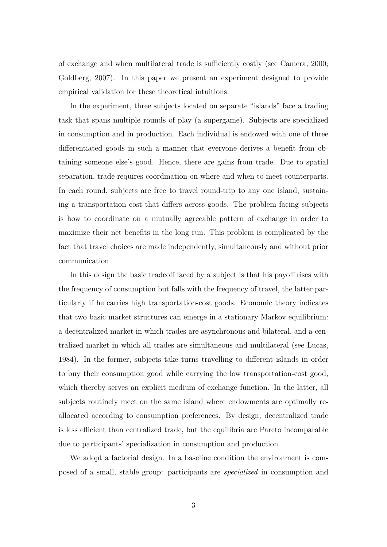of exchange and when multilateral trade is sufficiently costly (see Camera, 2000; Goldberg, 2007). In this paper we present an experiment designed to provide empirical validation for these theoretical intuitions.

In the experiment, three subjects located on separate "islands" face a trading task that spans multiple rounds of play (a supergame). Subjects are specialized in consumption and in production. Each individual is endowed with one of three differentiated goods in such a manner that everyone derives a benefit from obtaining someone else's good. Hence, there are gains from trade. Due to spatial separation, trade requires coordination on where and when to meet counterparts. In each round, subjects are free to travel round-trip to any one island, sustaining a transportation cost that differs across goods. The problem facing subjects is how to coordinate on a mutually agreeable pattern of exchange in order to maximize their net benefits in the long run. This problem is complicated by the fact that travel choices are made independently, simultaneously and without prior communication.

In this design the basic tradeoff faced by a subject is that his payoff rises with the frequency of consumption but falls with the frequency of travel, the latter particularly if he carries high transportation-cost goods. Economic theory indicates that two basic market structures can emerge in a stationary Markov equilibrium: a decentralized market in which trades are asynchronous and bilateral, and a centralized market in which all trades are simultaneous and multilateral (see Lucas, 1984). In the former, subjects take turns travelling to different islands in order to buy their consumption good while carrying the low transportation-cost good, which thereby serves an explicit medium of exchange function. In the latter, all subjects routinely meet on the same island where endowments are optimally reallocated according to consumption preferences. By design, decentralized trade is less efficient than centralized trade, but the equilibria are Pareto incomparable due to participants' specialization in consumption and production.

We adopt a factorial design. In a baseline condition the environment is composed of a small, stable group: participants are *specialized* in consumption and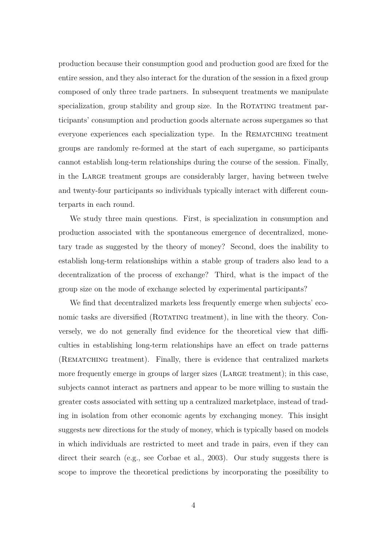production because their consumption good and production good are fixed for the entire session, and they also interact for the duration of the session in a fixed group composed of only three trade partners. In subsequent treatments we manipulate specialization, group stability and group size. In the ROTATING treatment participants' consumption and production goods alternate across supergames so that everyone experiences each specialization type. In the Rematching treatment groups are randomly re-formed at the start of each supergame, so participants cannot establish long-term relationships during the course of the session. Finally, in the Large treatment groups are considerably larger, having between twelve and twenty-four participants so individuals typically interact with different counterparts in each round.

We study three main questions. First, is specialization in consumption and production associated with the spontaneous emergence of decentralized, monetary trade as suggested by the theory of money? Second, does the inability to establish long-term relationships within a stable group of traders also lead to a decentralization of the process of exchange? Third, what is the impact of the group size on the mode of exchange selected by experimental participants?

We find that decentralized markets less frequently emerge when subjects' economic tasks are diversified (ROTATING treatment), in line with the theory. Conversely, we do not generally find evidence for the theoretical view that difficulties in establishing long-term relationships have an effect on trade patterns (Rematching treatment). Finally, there is evidence that centralized markets more frequently emerge in groups of larger sizes (Large treatment); in this case, subjects cannot interact as partners and appear to be more willing to sustain the greater costs associated with setting up a centralized marketplace, instead of trading in isolation from other economic agents by exchanging money. This insight suggests new directions for the study of money, which is typically based on models in which individuals are restricted to meet and trade in pairs, even if they can direct their search (e.g., see Corbae et al., 2003). Our study suggests there is scope to improve the theoretical predictions by incorporating the possibility to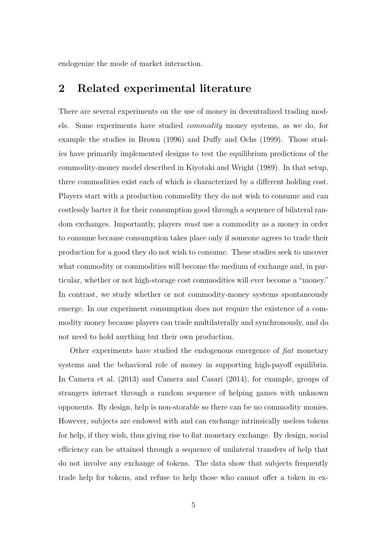endogenize the mode of market interaction.

## **2 Related experimental literature**

There are several experiments on the use of money in decentralized trading models. Some experiments have studied *commodity* money systems, as we do, for example the studies in Brown (1996) and Duffy and Ochs (1999). Those studies have primarily implemented designs to test the equilibrium predictions of the commodity-money model described in Kiyotaki and Wright (1989). In that setup, three commodities exist each of which is characterized by a different holding cost. Players start with a production commodity they do not wish to consume and can costlessly barter it for their consumption good through a sequence of bilateral random exchanges. Importantly, players *must* use a commodity as a money in order to consume because consumption takes place only if someone agrees to trade their production for a good they do not wish to consume. These studies seek to uncover what commodity or commodities will become the medium of exchange and, in particular, whether or not high-storage cost commodities will ever become a "money." In contrast, we study whether or not commodity-money systems spontaneously emerge. In our experiment consumption does not require the existence of a commodity money because players can trade multilaterally and synchronously, and do not need to hold anything but their own production.

Other experiments have studied the endogenous emergence of *fiat* monetary systems and the behavioral role of money in supporting high-payoff equilibria. In Camera et al. (2013) and Camera and Casari (2014), for example, groups of strangers interact through a random sequence of helping games with unknown opponents. By design, help is non-storable so there can be no commodity monies. However, subjects are endowed with and can exchange intrinsically useless tokens for help, if they wish, thus giving rise to fiat monetary exchange. By design, social efficiency can be attained through a sequence of unilateral transfers of help that do not involve any exchange of tokens. The data show that subjects frequently trade help for tokens, and refuse to help those who cannot offer a token in ex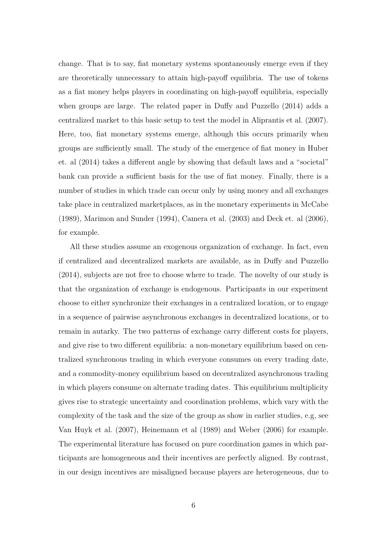change. That is to say, fiat monetary systems spontaneously emerge even if they are theoretically unnecessary to attain high-payoff equilibria. The use of tokens as a fiat money helps players in coordinating on high-payoff equilibria, especially when groups are large. The related paper in Duffy and Puzzello (2014) adds a centralized market to this basic setup to test the model in Aliprantis et al. (2007). Here, too, fiat monetary systems emerge, although this occurs primarily when groups are sufficiently small. The study of the emergence of fiat money in Huber et. al (2014) takes a different angle by showing that default laws and a "societal" bank can provide a sufficient basis for the use of fiat money. Finally, there is a number of studies in which trade can occur only by using money and all exchanges take place in centralized marketplaces, as in the monetary experiments in McCabe (1989), Marimon and Sunder (1994), Camera et al. (2003) and Deck et. al (2006), for example.

All these studies assume an exogenous organization of exchange. In fact, even if centralized and decentralized markets are available, as in Duffy and Puzzello (2014), subjects are not free to choose where to trade. The novelty of our study is that the organization of exchange is endogenous. Participants in our experiment choose to either synchronize their exchanges in a centralized location, or to engage in a sequence of pairwise asynchronous exchanges in decentralized locations, or to remain in autarky. The two patterns of exchange carry different costs for players, and give rise to two different equilibria: a non-monetary equilibrium based on centralized synchronous trading in which everyone consumes on every trading date, and a commodity-money equilibrium based on decentralized asynchronous trading in which players consume on alternate trading dates. This equilibrium multiplicity gives rise to strategic uncertainty and coordination problems, which vary with the complexity of the task and the size of the group as show in earlier studies, e.g, see Van Huyk et al. (2007), Heinemann et al (1989) and Weber (2006) for example. The experimental literature has focused on pure coordination games in which participants are homogeneous and their incentives are perfectly aligned. By contrast, in our design incentives are misaligned because players are heterogeneous, due to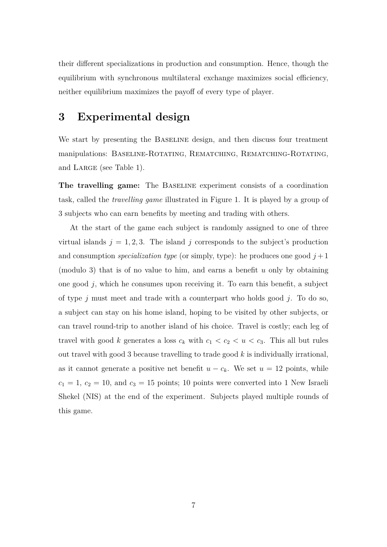their different specializations in production and consumption. Hence, though the equilibrium with synchronous multilateral exchange maximizes social efficiency, neither equilibrium maximizes the payoff of every type of player.

## **3 Experimental design**

We start by presenting the BASELINE design, and then discuss four treatment manipulations: Baseline-Rotating, Rematching, Rematching-Rotating, and LARGE (see Table 1).

**The travelling game:** The Baseline experiment consists of a coordination task, called the *travelling game* illustrated in Figure 1. It is played by a group of 3 subjects who can earn benefits by meeting and trading with others.

At the start of the game each subject is randomly assigned to one of three virtual islands  $j = 1, 2, 3$ . The island *j* corresponds to the subject's production and consumption *specialization type* (or simply, type): he produces one good  $j + 1$ (modulo 3) that is of no value to him, and earns a benefit *u* only by obtaining one good *j*, which he consumes upon receiving it. To earn this benefit, a subject of type *j* must meet and trade with a counterpart who holds good *j*. To do so, a subject can stay on his home island, hoping to be visited by other subjects, or can travel round-trip to another island of his choice. Travel is costly; each leg of travel with good *k* generates a loss  $c_k$  with  $c_1 < c_2 < u < c_3$ . This all but rules out travel with good 3 because travelling to trade good *k* is individually irrational, as it cannot generate a positive net benefit  $u - c_k$ . We set  $u = 12$  points, while  $c_1 = 1, c_2 = 10$ , and  $c_3 = 15$  points; 10 points were converted into 1 New Israeli Shekel (NIS) at the end of the experiment. Subjects played multiple rounds of this game.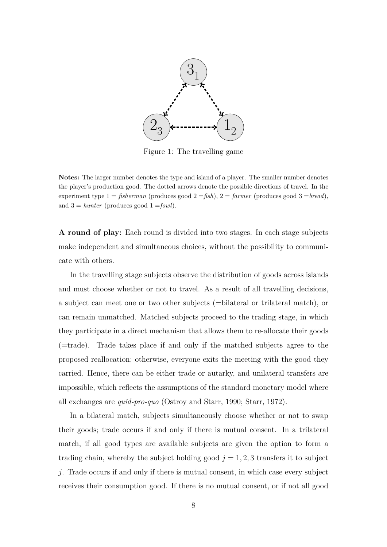

Figure 1: The travelling game

Notes: The larger number denotes the type and island of a player. The smaller number denotes the player's production good. The dotted arrows denote the possible directions of travel. In the experiment type  $1 = fisherman$  (produces good  $2 = fish$ ),  $2 = farmer$  (produces good  $3 = bread$ ), and  $3 =$  *hunter* (produces good  $1 =$ *fowl*).

**A round of play:** Each round is divided into two stages. In each stage subjects make independent and simultaneous choices, without the possibility to communicate with others.

In the travelling stage subjects observe the distribution of goods across islands and must choose whether or not to travel. As a result of all travelling decisions, a subject can meet one or two other subjects (=bilateral or trilateral match), or can remain unmatched. Matched subjects proceed to the trading stage, in which they participate in a direct mechanism that allows them to re-allocate their goods (=trade). Trade takes place if and only if the matched subjects agree to the proposed reallocation; otherwise, everyone exits the meeting with the good they carried. Hence, there can be either trade or autarky, and unilateral transfers are impossible, which reflects the assumptions of the standard monetary model where all exchanges are *quid-pro-quo* (Ostroy and Starr, 1990; Starr, 1972).

In a bilateral match, subjects simultaneously choose whether or not to swap their goods; trade occurs if and only if there is mutual consent. In a trilateral match, if all good types are available subjects are given the option to form a trading chain, whereby the subject holding good  $j = 1, 2, 3$  transfers it to subject *j*. Trade occurs if and only if there is mutual consent, in which case every subject receives their consumption good. If there is no mutual consent, or if not all good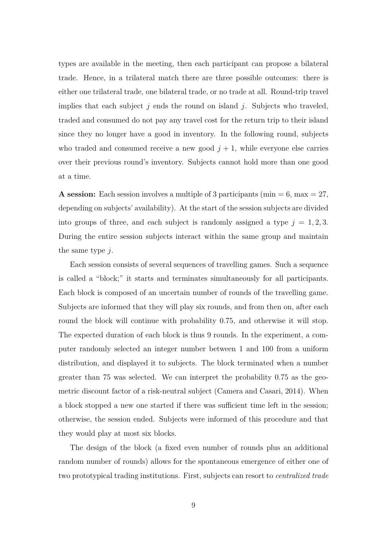types are available in the meeting, then each participant can propose a bilateral trade. Hence, in a trilateral match there are three possible outcomes: there is either one trilateral trade, one bilateral trade, or no trade at all. Round-trip travel implies that each subject *j* ends the round on island *j*. Subjects who traveled, traded and consumed do not pay any travel cost for the return trip to their island since they no longer have a good in inventory. In the following round, subjects who traded and consumed receive a new good  $j + 1$ , while everyone else carries over their previous round's inventory. Subjects cannot hold more than one good at a time.

**A session:** Each session involves a multiple of 3 participants (min  $= 6$ , max  $= 27$ , depending on subjects' availability). At the start of the session subjects are divided into groups of three, and each subject is randomly assigned a type  $j = 1, 2, 3$ . During the entire session subjects interact within the same group and maintain the same type *j*.

Each session consists of several sequences of travelling games. Such a sequence is called a "block;" it starts and terminates simultaneously for all participants. Each block is composed of an uncertain number of rounds of the travelling game. Subjects are informed that they will play six rounds, and from then on, after each round the block will continue with probability 0.75, and otherwise it will stop. The expected duration of each block is thus 9 rounds. In the experiment, a computer randomly selected an integer number between 1 and 100 from a uniform distribution, and displayed it to subjects. The block terminated when a number greater than 75 was selected. We can interpret the probability 0.75 as the geometric discount factor of a risk-neutral subject (Camera and Casari, 2014). When a block stopped a new one started if there was sufficient time left in the session; otherwise, the session ended. Subjects were informed of this procedure and that they would play at most six blocks.

The design of the block (a fixed even number of rounds plus an additional random number of rounds) allows for the spontaneous emergence of either one of two prototypical trading institutions. First, subjects can resort to *centralized trade*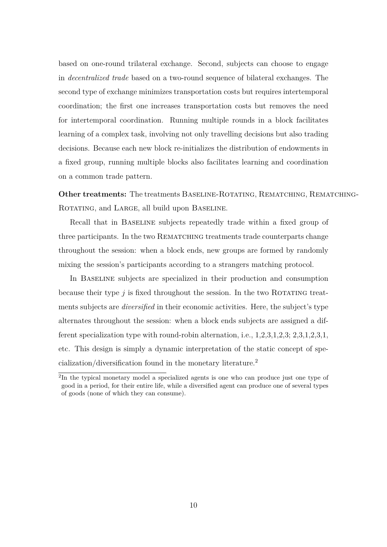based on one-round trilateral exchange. Second, subjects can choose to engage in *decentralized trade* based on a two-round sequence of bilateral exchanges. The second type of exchange minimizes transportation costs but requires intertemporal coordination; the first one increases transportation costs but removes the need for intertemporal coordination. Running multiple rounds in a block facilitates learning of a complex task, involving not only travelling decisions but also trading decisions. Because each new block re-initializes the distribution of endowments in a fixed group, running multiple blocks also facilitates learning and coordination on a common trade pattern.

**Other treatments:** The treatments BASELINE-ROTATING, REMATCHING, REMATCHING-ROTATING, and LARGE, all build upon BASELINE.

Recall that in Baseline subjects repeatedly trade within a fixed group of three participants. In the two REMATCHING treatments trade counterparts change throughout the session: when a block ends, new groups are formed by randomly mixing the session's participants according to a strangers matching protocol.

In Baseline subjects are specialized in their production and consumption because their type  $j$  is fixed throughout the session. In the two ROTATING treatments subjects are *diversified* in their economic activities. Here, the subject's type alternates throughout the session: when a block ends subjects are assigned a different specialization type with round-robin alternation, i.e., 1,2,3,1,2,3; 2,3,1,2,3,1, etc. This design is simply a dynamic interpretation of the static concept of specialization/diversification found in the monetary literature.<sup>2</sup>

<sup>&</sup>lt;sup>2</sup>In the typical monetary model a specialized agents is one who can produce just one type of good in a period, for their entire life, while a diversified agent can produce one of several types of goods (none of which they can consume).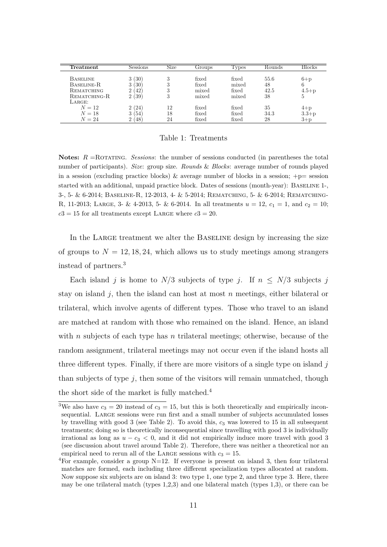| Freatment                                                   | Sessions                                    | Size             | Groups                           | 1 ypes                           | Kounds                   | Blocks                       |
|-------------------------------------------------------------|---------------------------------------------|------------------|----------------------------------|----------------------------------|--------------------------|------------------------------|
| <b>BASELINE</b><br>BASELINE-R<br>REMATCHING<br>REMATCHING-R | (30)<br>3<br>3<br>30<br>റ<br>'42<br>റ<br>39 | 3<br>3<br>3<br>3 | fixed<br>fixed<br>mixed<br>mixed | fixed<br>mixed<br>fixed<br>mixed | 55.6<br>48<br>42.5<br>38 | $6+p$<br>6<br>$4.5 + p$<br>5 |
| LARGE:<br>$N=12$<br>$N = 18$<br>$N=24$                      | 2(24)<br>3<br>54<br>$\Omega$<br>.48         | 12<br>18<br>24   | fixed<br>fixed<br>fixed          | fixed<br>fixed<br>fixed          | 35<br>34.3<br>28         | $4+p$<br>$3.3 + p$<br>$3+p$  |

#### Table 1: Treatments

**Notes:**  $R = \text{ROTATING}$ . *Sessions*: the number of sessions conducted (in parentheses the total number of participants). *Size*: group size. *Rounds* & *Blocks*: average number of rounds played in a session (excluding practice blocks) & average number of blocks in a session;  $+p=$  session started with an additional, unpaid practice block. Dates of sessions (month-year): BASELINE 1-, 3-, 5- & 6-2014; Baseline-R, 12-2013, 4- & 5-2014; Rematching, 5- & 6-2014; Rematching-R, 11-2013; LARGE, 3- & 4-2013, 5- & 6-2014. In all treatments  $u = 12$ ,  $c_1 = 1$ , and  $c_2 = 10$ ;  $c3 = 15$  for all treatments except LARGE where  $c3 = 20$ .

In the LARGE treatment we alter the BASELINE design by increasing the size of groups to  $N = 12, 18, 24$ , which allows us to study meetings among strangers instead of partners.<sup>3</sup>

Each island *j* is home to  $N/3$  subjects of type *j*. If  $n \leq N/3$  subjects *j* stay on island *j*, then the island can host at most *n* meetings, either bilateral or trilateral, which involve agents of different types. Those who travel to an island are matched at random with those who remained on the island. Hence, an island with *n* subjects of each type has *n* trilateral meetings; otherwise, because of the random assignment, trilateral meetings may not occur even if the island hosts all three different types. Finally, if there are more visitors of a single type on island *j* than subjects of type *j*, then some of the visitors will remain unmatched, though the short side of the market is fully matched.<sup>4</sup>

<sup>&</sup>lt;sup>3</sup>We also have  $c_3 = 20$  instead of  $c_3 = 15$ , but this is both theoretically and empirically inconsequential. Large sessions were run first and a small number of subjects accumulated losses by travelling with good 3 (see Table 2). To avoid this, *c*<sup>3</sup> was lowered to 15 in all subsequent treatments; doing so is theoretically inconsequential since travelling with good 3 is individually irrational as long as  $u - c_3 < 0$ , and it did not empirically induce more travel with good 3 (see discussion about travel around Table 2). Therefore, there was neither a theoretical nor an empirical need to rerun all of the LARGE sessions with  $c_3 = 15$ .

<sup>&</sup>lt;sup>4</sup>For example, consider a group  $N=12$ . If everyone is present on island 3, then four trilateral matches are formed, each including three different specialization types allocated at random. Now suppose six subjects are on island 3: two type 1, one type 2, and three type 3. Here, there may be one trilateral match (types 1,2,3) and one bilateral match (types 1,3), or there can be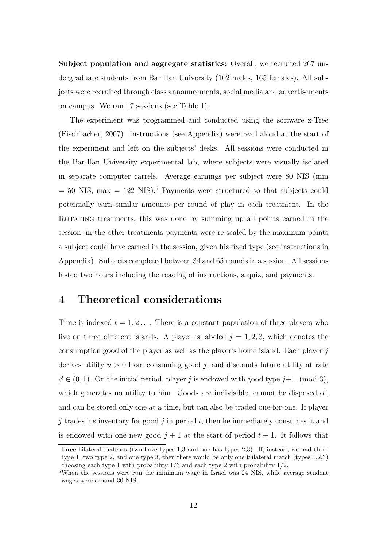**Subject population and aggregate statistics:** Overall, we recruited 267 undergraduate students from Bar Ilan University (102 males, 165 females). All subjects were recruited through class announcements, social media and advertisements on campus. We ran 17 sessions (see Table 1).

The experiment was programmed and conducted using the software z-Tree (Fischbacher, 2007). Instructions (see Appendix) were read aloud at the start of the experiment and left on the subjects' desks. All sessions were conducted in the Bar-Ilan University experimental lab, where subjects were visually isolated in separate computer carrels. Average earnings per subject were 80 NIS (min  $= 50$  NIS, max  $= 122$  NIS).<sup>5</sup> Payments were structured so that subjects could potentially earn similar amounts per round of play in each treatment. In the ROTATING treatments, this was done by summing up all points earned in the session; in the other treatments payments were re-scaled by the maximum points a subject could have earned in the session, given his fixed type (see instructions in Appendix). Subjects completed between 34 and 65 rounds in a session. All sessions lasted two hours including the reading of instructions, a quiz, and payments.

# **4 Theoretical considerations**

Time is indexed  $t = 1, 2, \ldots$  There is a constant population of three players who live on three different islands. A player is labeled  $j = 1, 2, 3$ , which denotes the consumption good of the player as well as the player's home island. Each player *j* derives utility  $u > 0$  from consuming good  $j$ , and discounts future utility at rate  $\beta \in (0,1)$ . On the initial period, player *j* is endowed with good type  $j+1 \pmod{3}$ , which generates no utility to him. Goods are indivisible, cannot be disposed of, and can be stored only one at a time, but can also be traded one-for-one. If player *j* trades his inventory for good *j* in period *t*, then he immediately consumes it and is endowed with one new good  $j + 1$  at the start of period  $t + 1$ . It follows that

three bilateral matches (two have types 1,3 and one has types 2,3). If, instead, we had three type 1, two type 2, and one type 3, then there would be only one trilateral match (types 1,2,3) choosing each type 1 with probability  $1/3$  and each type 2 with probability  $1/2$ .

<sup>&</sup>lt;sup>5</sup>When the sessions were run the minimum wage in Israel was 24 NIS, while average student wages were around 30 NIS.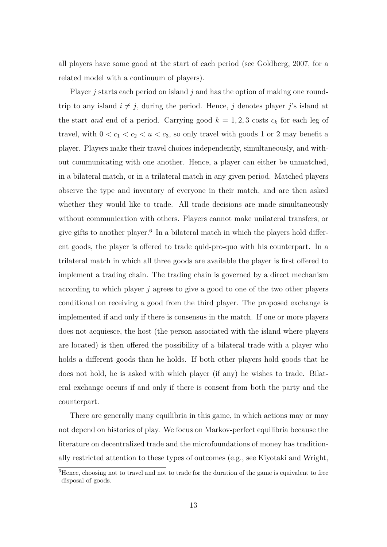all players have some good at the start of each period (see Goldberg, 2007, for a related model with a continuum of players).

Player *j* starts each period on island *j* and has the option of making one roundtrip to any island  $i \neq j$ , during the period. Hence, *j* denotes player *j*'s island at the start *and* end of a period. Carrying good  $k = 1, 2, 3$  costs  $c_k$  for each leg of travel, with  $0 < c_1 < c_2 < u < c_3$ , so only travel with goods 1 or 2 may benefit a player. Players make their travel choices independently, simultaneously, and without communicating with one another. Hence, a player can either be unmatched, in a bilateral match, or in a trilateral match in any given period. Matched players observe the type and inventory of everyone in their match, and are then asked whether they would like to trade. All trade decisions are made simultaneously without communication with others. Players cannot make unilateral transfers, or give gifts to another player. $6$  In a bilateral match in which the players hold different goods, the player is offered to trade quid-pro-quo with his counterpart. In a trilateral match in which all three goods are available the player is first offered to implement a trading chain. The trading chain is governed by a direct mechanism according to which player *j* agrees to give a good to one of the two other players conditional on receiving a good from the third player. The proposed exchange is implemented if and only if there is consensus in the match. If one or more players does not acquiesce, the host (the person associated with the island where players are located) is then offered the possibility of a bilateral trade with a player who holds a different goods than he holds. If both other players hold goods that he does not hold, he is asked with which player (if any) he wishes to trade. Bilateral exchange occurs if and only if there is consent from both the party and the counterpart.

There are generally many equilibria in this game, in which actions may or may not depend on histories of play. We focus on Markov-perfect equilibria because the literature on decentralized trade and the microfoundations of money has traditionally restricted attention to these types of outcomes (e.g., see Kiyotaki and Wright,

 ${}^{6}$ Hence, choosing not to travel and not to trade for the duration of the game is equivalent to free disposal of goods.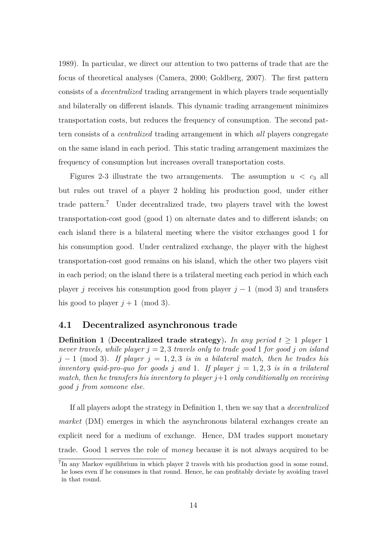1989). In particular, we direct our attention to two patterns of trade that are the focus of theoretical analyses (Camera, 2000; Goldberg, 2007). The first pattern consists of a *decentralized* trading arrangement in which players trade sequentially and bilaterally on different islands. This dynamic trading arrangement minimizes transportation costs, but reduces the frequency of consumption. The second pattern consists of a *centralized* trading arrangement in which *all* players congregate on the same island in each period. This static trading arrangement maximizes the frequency of consumption but increases overall transportation costs.

Figures 2-3 illustrate the two arrangements. The assumption  $u < c_3$  all but rules out travel of a player 2 holding his production good, under either trade pattern.<sup>7</sup> Under decentralized trade, two players travel with the lowest transportation-cost good (good 1) on alternate dates and to different islands; on each island there is a bilateral meeting where the visitor exchanges good 1 for his consumption good. Under centralized exchange, the player with the highest transportation-cost good remains on his island, which the other two players visit in each period; on the island there is a trilateral meeting each period in which each player *j* receives his consumption good from player  $j - 1 \pmod{3}$  and transfers his good to player  $j + 1 \pmod{3}$ .

## **4.1 Decentralized asynchronous trade**

**Definition 1** (Decentralized trade strategy). In any period  $t \geq 1$  player 1 *never travels, while player*  $j = 2, 3$  *travels only to trade good* 1 *for good j on island*  $j - 1$  (mod 3)*. If player*  $j = 1, 2, 3$  *is in a bilateral match, then he trades his inventory quid-pro-quo for goods j and* 1*. If player*  $j = 1, 2, 3$  *is in a trilateral match, then he transfers his inventory to player j*+1 *only conditionally on receiving good j from someone else.*

If all players adopt the strategy in Definition 1, then we say that a *decentralized market* (DM) emerges in which the asynchronous bilateral exchanges create an explicit need for a medium of exchange. Hence, DM trades support monetary trade. Good 1 serves the role of *money* because it is not always acquired to be

<sup>&</sup>lt;sup>7</sup>In any Markov equilibrium in which player 2 travels with his production good in some round, he loses even if he consumes in that round. Hence, he can profitably deviate by avoiding travel in that round.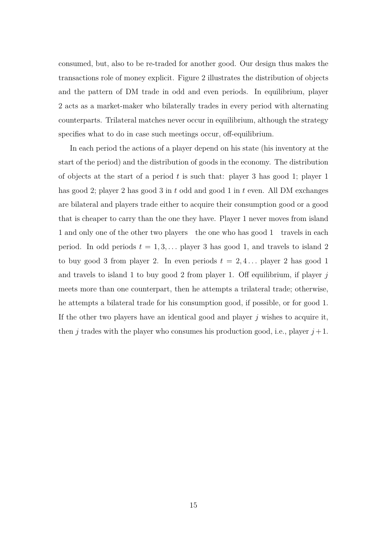consumed, but, also to be re-traded for another good. Our design thus makes the transactions role of money explicit. Figure 2 illustrates the distribution of objects and the pattern of DM trade in odd and even periods. In equilibrium, player 2 acts as a market-maker who bilaterally trades in every period with alternating counterparts. Trilateral matches never occur in equilibrium, although the strategy specifies what to do in case such meetings occur, off-equilibrium.

In each period the actions of a player depend on his state (his inventory at the start of the period) and the distribution of goods in the economy. The distribution of objects at the start of a period *t* is such that: player 3 has good 1; player 1 has good 2; player 2 has good 3 in *t* odd and good 1 in *t* even. All DM exchanges are bilateral and players trade either to acquire their consumption good or a good that is cheaper to carry than the one they have. Player 1 never moves from island 1 and only one of the other two players the one who has good 1 travels in each period. In odd periods  $t = 1, 3, \ldots$  player 3 has good 1, and travels to island 2 to buy good 3 from player 2. In even periods  $t = 2, 4...$  player 2 has good 1 and travels to island 1 to buy good 2 from player 1. Off equilibrium, if player *j* meets more than one counterpart, then he attempts a trilateral trade; otherwise, he attempts a bilateral trade for his consumption good, if possible, or for good 1. If the other two players have an identical good and player  $j$  wishes to acquire it, then *j* trades with the player who consumes his production good, i.e., player  $j+1$ .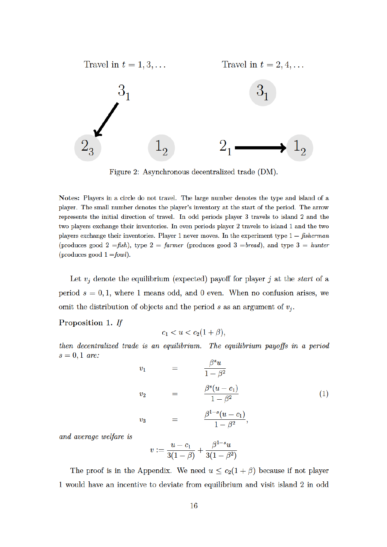

Figure 2: Asynchronous decentralized trade (DM).

Notes: Players in a circle do not travel. The large number denotes the type and island of a player. The small number denotes the player's inventory at the start of the period. The arrow represents the initial direction of travel. In odd periods player 3 travels to island 2 and the two players exchange their inventories. In even periods player 2 travels to island 1 and the two players exchange their inventories. Player 1 never moves. In the experiment type  $1 = fisherman$ (produces good 2 = fish), type 2 = farmer (produces good 3 = bread), and type 3 = hunter (produces good  $1 = fowl$ ).

Let  $v_j$  denote the equilibrium (expected) payoff for player j at the start of a period  $s = 0, 1$ , where 1 means odd, and 0 even. When no confusion arises, we omit the distribution of objects and the period s as an argument of  $v_i$ .

#### Proposition 1. If

$$
c_1 < u < c_2(1+\beta),
$$

then decentralized trade is an equilibrium. The equilibrium payoffs in a period  $s=0,1$  are:  $\overline{\Omega}$ s

$$
v_1 = \frac{\beta^s u}{1 - \beta^2}
$$
  
\n
$$
v_2 = \frac{\beta^s (u - c_1)}{1 - \beta^2}
$$
  
\n
$$
v_3 = \frac{\beta^{1-s} (u - c_1)}{1 - \beta^2},
$$
  
\n(1)

and average welfare is

$$
v := \frac{u - c_1}{3(1 - \beta)} + \frac{\beta^{1 - s} u}{3(1 - \beta^2)}
$$

The proof is in the Appendix. We need  $u \le c_2(1+\beta)$  because if not player 1 would have an incentive to deviate from equilibrium and visit island 2 in odd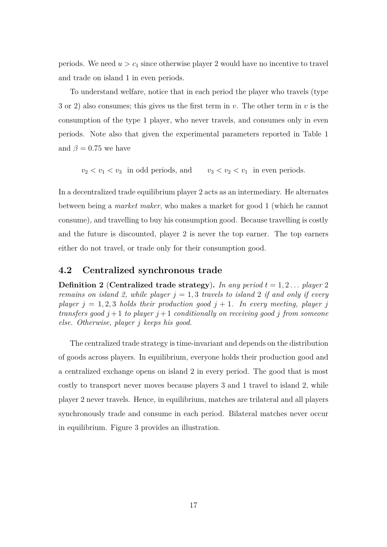periods. We need  $u > c_1$  since otherwise player 2 would have no incentive to travel and trade on island 1 in even periods.

To understand welfare, notice that in each period the player who travels (type 3 or 2) also consumes; this gives us the first term in *v*. The other term in *v* is the consumption of the type 1 player, who never travels, and consumes only in even periods. Note also that given the experimental parameters reported in Table 1 and  $\beta = 0.75$  we have

 $v_2 < v_1 < v_3$  in odd periods, and  $v_3 < v_2 < v_1$  in even periods.

In a decentralized trade equilibrium player 2 acts as an intermediary. He alternates between being a *market maker*, who makes a market for good 1 (which he cannot consume), and travelling to buy his consumption good. Because travelling is costly and the future is discounted, player 2 is never the top earner. The top earners either do not travel, or trade only for their consumption good.

### **4.2 Centralized synchronous trade**

**Definition 2** (**Centralized trade strategy**). In any period  $t = 1, 2, \ldots$  player 2 *remains on island 2, while player*  $j = 1, 3$  *travels to island 2 if and only if every player*  $j = 1, 2, 3$  *holds their production good*  $j + 1$ *. In every meeting, player j transfers good*  $j + 1$  *to player*  $j + 1$  *conditionally on receiving good j from someone else. Otherwise, player j keeps his good.*

The centralized trade strategy is time-invariant and depends on the distribution of goods across players. In equilibrium, everyone holds their production good and a centralized exchange opens on island 2 in every period. The good that is most costly to transport never moves because players 3 and 1 travel to island 2, while player 2 never travels. Hence, in equilibrium, matches are trilateral and all players synchronously trade and consume in each period. Bilateral matches never occur in equilibrium. Figure 3 provides an illustration.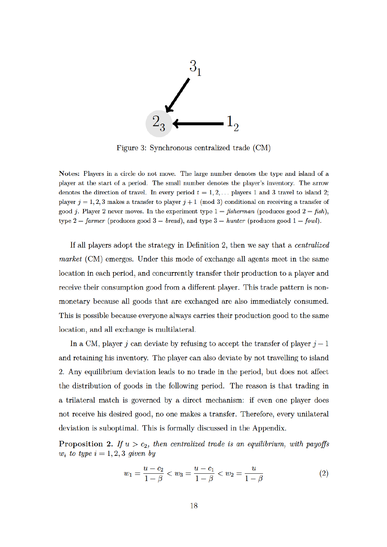

Figure 3: Synchronous centralized trade (CM)

Notes: Players in a circle do not move. The large number denotes the type and island of a player at the start of a period. The small number denotes the player's inventory. The arrow denotes the direction of travel. In every period  $t = 1, 2, \ldots$  players 1 and 3 travel to island 2; player  $j = 1, 2, 3$  makes a transfer to player  $j + 1 \pmod{3}$  conditional on receiving a transfer of good *j*. Player 2 never moves. In the experiment type  $1 = fisherman$  (produces good  $2 = fish$ ). type 2 = farmer (produces good 3 = bread), and type 3 = hunter (produces good 1 = fowl).

If all players adopt the strategy in Definition 2, then we say that a *centralized market* (CM) emerges. Under this mode of exchange all agents meet in the same location in each period, and concurrently transfer their production to a player and receive their consumption good from a different player. This trade pattern is nonmonetary because all goods that are exchanged are also immediately consumed. This is possible because everyone always carries their production good to the same location, and all exchange is multilateral.

In a CM, player j can deviate by refusing to accept the transfer of player  $j-1$ and retaining his inventory. The player can also deviate by not travelling to island 2. Any equilibrium deviation leads to no trade in the period, but does not affect the distribution of goods in the following period. The reason is that trading in a trilateral match is governed by a direct mechanism: if even one player does not receive his desired good, no one makes a transfer. Therefore, every unilateral deviation is suboptimal. This is formally discussed in the Appendix.

**Proposition 2.** If  $u > c_2$ , then centralized trade is an equilibrium, with payoffs  $w_i$  to type  $i = 1, 2, 3$  given by

$$
w_1 = \frac{u - c_2}{1 - \beta} < w_3 = \frac{u - c_1}{1 - \beta} < w_2 = \frac{u}{1 - \beta} \tag{2}
$$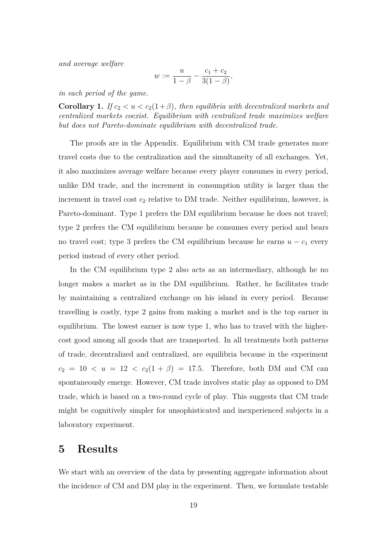*and average welfare*

$$
w := \frac{u}{1 - \beta} - \frac{c_1 + c_2}{3(1 - \beta)},
$$

*in each period of the game.*

**Corollary 1.** *If*  $c_2 < u < c_2(1+\beta)$ *, then equilibria with decentralized markets and centralized markets coexist. Equilibrium with centralized trade maximizes welfare but does not Pareto-dominate equilibrium with decentralized trade.*

The proofs are in the Appendix. Equilibrium with CM trade generates more travel costs due to the centralization and the simultaneity of all exchanges. Yet, it also maximizes average welfare because every player consumes in every period, unlike DM trade, and the increment in consumption utility is larger than the increment in travel cost *c*<sup>2</sup> relative to DM trade. Neither equilibrium, however, is Pareto-dominant. Type 1 prefers the DM equilibrium because he does not travel; type 2 prefers the CM equilibrium because he consumes every period and bears no travel cost; type 3 prefers the CM equilibrium because he earns  $u - c_1$  every period instead of every other period.

In the CM equilibrium type 2 also acts as an intermediary, although he no longer makes a market as in the DM equilibrium. Rather, he facilitates trade by maintaining a centralized exchange on his island in every period. Because travelling is costly, type 2 gains from making a market and is the top earner in equilibrium. The lowest earner is now type 1, who has to travel with the highercost good among all goods that are transported. In all treatments both patterns of trade, decentralized and centralized, are equilibria because in the experiment  $c_2 = 10 < u = 12 < c_2(1 + \beta) = 17.5$ . Therefore, both DM and CM can spontaneously emerge. However, CM trade involves static play as opposed to DM trade, which is based on a two-round cycle of play. This suggests that CM trade might be cognitively simpler for unsophisticated and inexperienced subjects in a laboratory experiment.

## **5 Results**

We start with an overview of the data by presenting aggregate information about the incidence of CM and DM play in the experiment. Then, we formulate testable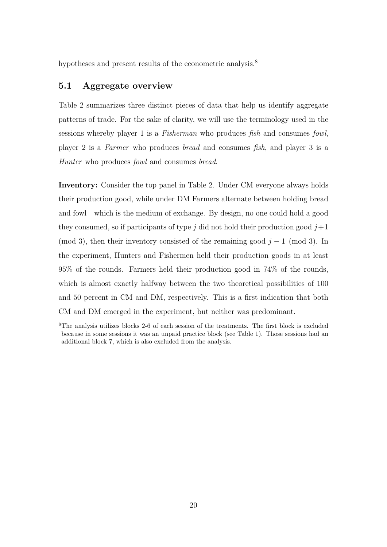hypotheses and present results of the econometric analysis.<sup>8</sup>

## **5.1 Aggregate overview**

Table 2 summarizes three distinct pieces of data that help us identify aggregate patterns of trade. For the sake of clarity, we will use the terminology used in the sessions whereby player 1 is a *Fisherman* who produces *fish* and consumes *fowl*, player 2 is a *Farmer* who produces *bread* and consumes *fish*, and player 3 is a *Hunter* who produces *fowl* and consumes *bread*.

**Inventory:** Consider the top panel in Table 2. Under CM everyone always holds their production good, while under DM Farmers alternate between holding bread and fowl which is the medium of exchange. By design, no one could hold a good they consumed, so if participants of type *j* did not hold their production good  $j+1$ (mod 3), then their inventory consisted of the remaining good  $j-1$  (mod 3). In the experiment, Hunters and Fishermen held their production goods in at least 95% of the rounds. Farmers held their production good in 74% of the rounds, which is almost exactly halfway between the two theoretical possibilities of 100 and 50 percent in CM and DM, respectively. This is a first indication that both CM and DM emerged in the experiment, but neither was predominant.

<sup>8</sup>The analysis utilizes blocks 2-6 of each session of the treatments. The first block is excluded because in some sessions it was an unpaid practice block (see Table 1). Those sessions had an additional block 7, which is also excluded from the analysis.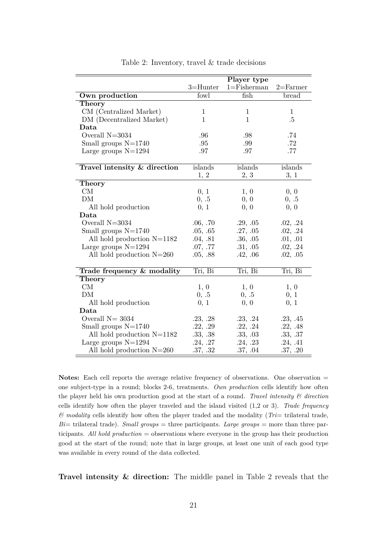|                              | Player type  |                 |              |
|------------------------------|--------------|-----------------|--------------|
|                              | $3 =$ Hunter | $1 =$ Fisherman | $2 =$ Farmer |
| Own production               | fowl         | fish            | bread        |
| <b>Theory</b>                |              |                 |              |
| CM (Centralized Market)      | $\mathbf{1}$ | $\mathbf{1}$    | 1            |
| DM (Decentralized Market)    | $\mathbf{1}$ | $\mathbf{1}$    | .5           |
| Data                         |              |                 |              |
| Overall $N=3034$             | .96          | .98             | .74          |
| Small groups $N=1740$        | .95          | .99             | .72          |
| Large groups $N=1294$        | .97          | .97             | .77          |
|                              |              |                 |              |
| Travel intensity & direction | islands      | islands         | islands      |
|                              | 1, 2         | 2, 3            | 3, 1         |
| Theory                       |              |                 |              |
| CM                           | 0, 1         | 1, 0            | 0, 0         |
| DM                           | 0, .5        | 0, 0            | 0, .5        |
| All hold production          | 0, 1         | 0, 0            | 0, 0         |
| Data                         |              |                 |              |
| Overall $N=3034$             | .06, .70     | .29, .05        | .02, .24     |
| Small groups $N=1740$        | .05, .65     | .27, .05        | .02, .24     |
| All hold production $N=1182$ | .04, .81     | .36, .05        | .01, .01     |
| Large groups $N=1294$        | .07, .77     | .31, .05        | .02, .24     |
| All hold production $N=260$  | .05, .88     | .42, .06        | .02, .05     |
|                              |              |                 |              |
| Trade frequency & modality   | Tri, Bi      | Tri, Bi         | Tri, Bi      |
| Theory                       |              |                 |              |
| CM                           | 1, 0         | 1, 0            | 1, 0         |
| DМ                           | 0, .5        | 0, .5           | 0, 1         |
| All hold production          | 0, 1         | 0, 0            | 0, 1         |
| Data                         |              |                 |              |
| Overall $N = 3034$           | .23, .28     | .23, .24        | .23, .45     |
| Small groups $N=1740$        | .22, .29     | .22, .24        | .22, .48     |
| All hold production $N=1182$ | .33, .38     | .33, .03        | .33, .37     |
| Large groups $N=1294$        | .24, .27     | .24, .23        | .24, .41     |
| All hold production $N=260$  | .37, .32     | .37, .04        | .37, .20     |

Table 2: Inventory, travel & trade decisions

Notes: Each cell reports the average relative frequency of observations. One observation = one subject-type in a round; blocks 2-6, treatments. *Own production* cells identify how often the player held his own production good at the start of a round. *Travel intensity & direction* cells identify how often the player traveled and the island visited (1,2 or 3). *Trade frequency & modality* cells identify how often the player traded and the modality (*Tri*= trilateral trade,  $Bi=$  trilateral trade). *Small groups* = three participants. *Large groups* = more than three participants. *All hold production* = observations where everyone in the group has their production good at the start of the round; note that in large groups, at least one unit of each good type was available in every round of the data collected.

**Travel intensity & direction:** The middle panel in Table 2 reveals that the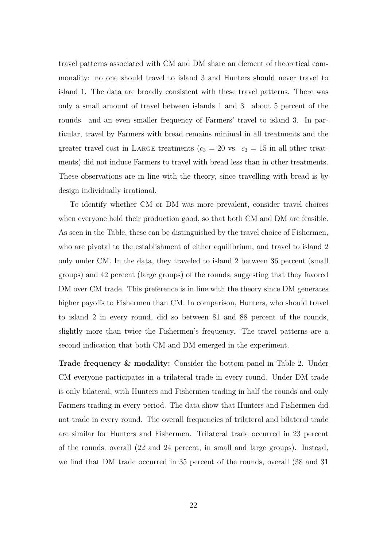travel patterns associated with CM and DM share an element of theoretical commonality: no one should travel to island 3 and Hunters should never travel to island 1. The data are broadly consistent with these travel patterns. There was only a small amount of travel between islands 1 and 3 about 5 percent of the rounds and an even smaller frequency of Farmers' travel to island 3. In particular, travel by Farmers with bread remains minimal in all treatments and the greater travel cost in LARGE treatments  $(c_3 = 20 \text{ vs. } c_3 = 15 \text{ in all other treat-}$ ments) did not induce Farmers to travel with bread less than in other treatments. These observations are in line with the theory, since travelling with bread is by design individually irrational.

To identify whether CM or DM was more prevalent, consider travel choices when everyone held their production good, so that both CM and DM are feasible. As seen in the Table, these can be distinguished by the travel choice of Fishermen, who are pivotal to the establishment of either equilibrium, and travel to island 2 only under CM. In the data, they traveled to island 2 between 36 percent (small groups) and 42 percent (large groups) of the rounds, suggesting that they favored DM over CM trade. This preference is in line with the theory since DM generates higher payoffs to Fishermen than CM. In comparison, Hunters, who should travel to island 2 in every round, did so between 81 and 88 percent of the rounds, slightly more than twice the Fishermen's frequency. The travel patterns are a second indication that both CM and DM emerged in the experiment.

**Trade frequency & modality:** Consider the bottom panel in Table 2. Under CM everyone participates in a trilateral trade in every round. Under DM trade is only bilateral, with Hunters and Fishermen trading in half the rounds and only Farmers trading in every period. The data show that Hunters and Fishermen did not trade in every round. The overall frequencies of trilateral and bilateral trade are similar for Hunters and Fishermen. Trilateral trade occurred in 23 percent of the rounds, overall (22 and 24 percent, in small and large groups). Instead, we find that DM trade occurred in 35 percent of the rounds, overall (38 and 31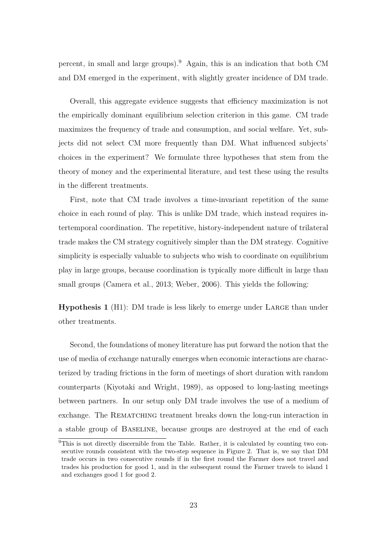percent, in small and large groups).<sup>9</sup> Again, this is an indication that both CM and DM emerged in the experiment, with slightly greater incidence of DM trade.

Overall, this aggregate evidence suggests that efficiency maximization is not the empirically dominant equilibrium selection criterion in this game. CM trade maximizes the frequency of trade and consumption, and social welfare. Yet, subjects did not select CM more frequently than DM. What influenced subjects' choices in the experiment? We formulate three hypotheses that stem from the theory of money and the experimental literature, and test these using the results in the different treatments.

First, note that CM trade involves a time-invariant repetition of the same choice in each round of play. This is unlike DM trade, which instead requires intertemporal coordination. The repetitive, history-independent nature of trilateral trade makes the CM strategy cognitively simpler than the DM strategy. Cognitive simplicity is especially valuable to subjects who wish to coordinate on equilibrium play in large groups, because coordination is typically more difficult in large than small groups (Camera et al., 2013; Weber, 2006). This yields the following:

**Hypothesis 1** (H1): DM trade is less likely to emerge under LARGE than under other treatments.

Second, the foundations of money literature has put forward the notion that the use of media of exchange naturally emerges when economic interactions are characterized by trading frictions in the form of meetings of short duration with random counterparts (Kiyotaki and Wright, 1989), as opposed to long-lasting meetings between partners. In our setup only DM trade involves the use of a medium of exchange. The REMATCHING treatment breaks down the long-run interaction in a stable group of Baseline, because groups are destroyed at the end of each

<sup>9</sup>This is not directly discernible from the Table. Rather, it is calculated by counting two consecutive rounds consistent with the two-step sequence in Figure 2. That is, we say that DM trade occurs in two consecutive rounds if in the first round the Farmer does not travel and trades his production for good 1, and in the subsequent round the Farmer travels to island 1 and exchanges good 1 for good 2.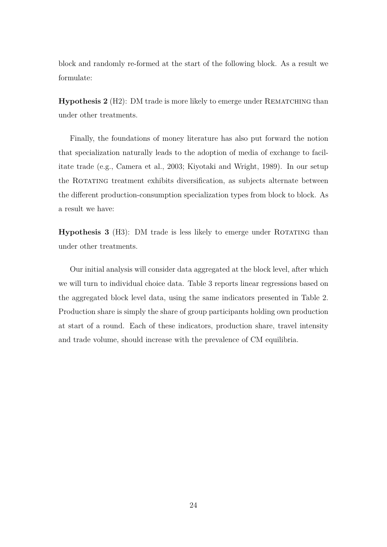block and randomly re-formed at the start of the following block. As a result we formulate:

**Hypothesis 2** (H2): DM trade is more likely to emerge under REMATCHING than under other treatments.

Finally, the foundations of money literature has also put forward the notion that specialization naturally leads to the adoption of media of exchange to facilitate trade (e.g., Camera et al., 2003; Kiyotaki and Wright, 1989). In our setup the ROTATING treatment exhibits diversification, as subjects alternate between the different production-consumption specialization types from block to block. As a result we have:

**Hypothesis 3** (H3): DM trade is less likely to emerge under ROTATING than under other treatments.

Our initial analysis will consider data aggregated at the block level, after which we will turn to individual choice data. Table 3 reports linear regressions based on the aggregated block level data, using the same indicators presented in Table 2. Production share is simply the share of group participants holding own production at start of a round. Each of these indicators, production share, travel intensity and trade volume, should increase with the prevalence of CM equilibria.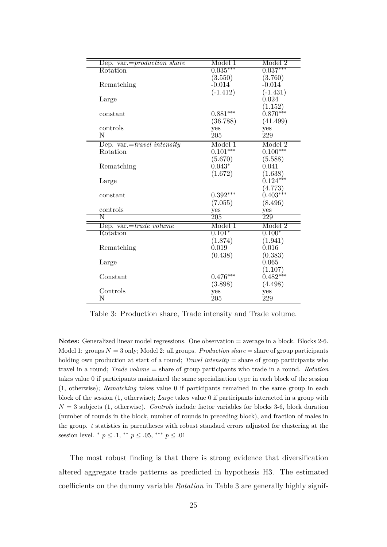| Dep. var.= $production\ share$     | $\sqrt{\text{Model 1}}$ | $\sqrt{\text{Model }2}$ |
|------------------------------------|-------------------------|-------------------------|
| Rotation                           | $0.035***$              | $0.037***$              |
|                                    | (3.550)                 | (3.760)                 |
| Rematching                         | $-0.014$                | $-0.014$                |
|                                    | $(-1.412)$              | $(-1.431)$              |
| Large                              |                         | 0.024                   |
|                                    |                         | (1.152)                 |
| constant                           | $0.881***$              | $0.870***$              |
|                                    | (36.788)                | (41.499)                |
| controls                           | yes                     | yes                     |
| $\overline{\rm N}$                 | $\overline{205}$        | $\overline{229}$        |
| Dep. var.= <i>travel</i> intensity | Model 1                 | Model 2                 |
| Rotation                           | $0.101***$              | $0.100***$              |
|                                    | (5.670)                 | (5.588)                 |
| Rematching                         | $0.043*$                | 0.041                   |
|                                    | (1.672)                 | (1.638)                 |
| Large                              |                         | $0.124***$              |
|                                    |                         | (4.773)                 |
| constant                           | $0.392***$              | $0.403***$              |
|                                    | (7.055)                 | (8.496)                 |
| controls                           | yes                     | yes                     |
| $\overline{\rm N}$                 | $\overline{205}$        | 229                     |
| Dep. var.= <i>trade volume</i>     | Model 1                 | Model 2                 |
| Rotation                           | $0.101*$                | $0.100*$                |
|                                    | (1.874)                 | (1.941)                 |
| Rematching                         | 0.019                   | 0.016                   |
|                                    | (0.438)                 | (0.383)                 |
| Large                              |                         | 0.065                   |
|                                    |                         | (1.107)                 |
| Constant                           | $0.476***$              | $0.482***$              |
|                                    | (3.898)                 | (4.498)                 |
| Controls                           | yes                     | yes                     |
| Ν                                  | 205                     | 229                     |

Table 3: Production share, Trade intensity and Trade volume.

**Notes:** Generalized linear model regressions. One observation = average in a block. Blocks 2-6. Model 1: groups  $N = 3$  only; Model 2: all groups. *Production share*  $=$  share of group participants holding own production at start of a round; *Travel intensity* = share of group participants who travel in a round; *Trade volume* = share of group participants who trade in a round. *Rotation* takes value 0 if participants maintained the same specialization type in each block of the session (1, otherwise); *Rematching* takes value 0 if participants remained in the same group in each block of the session (1, otherwise); *Large* takes value 0 if participants interacted in a group with *N* = 3 subjects (1, otherwise). *Controls* include factor variables for blocks 3-6, block duration (number of rounds in the block, number of rounds in preceding block), and fraction of males in the group. *t* statistics in parentheses with robust standard errors adjusted for clustering at the session level. \*  $p \leq .1$ , \*\*  $p \leq .05$ , \*\*\*  $p \leq .01$ 

The most robust finding is that there is strong evidence that diversification altered aggregate trade patterns as predicted in hypothesis H3. The estimated coefficients on the dummy variable *Rotation* in Table 3 are generally highly signif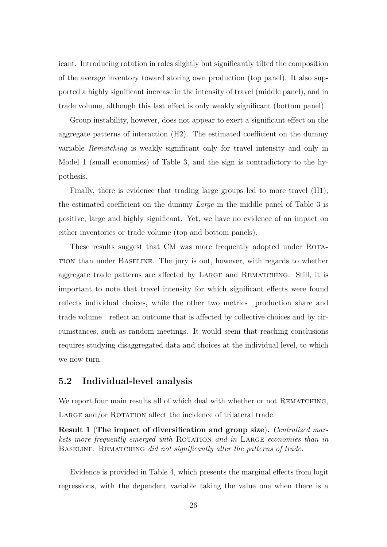icant. Introducing rotation in roles slightly but significantly tilted the composition of the average inventory toward storing own production (top panel). It also supported a highly significant increase in the intensity of travel (middle panel), and in trade volume, although this last effect is only weakly significant (bottom panel).

Group instability, however, does not appear to exert a significant effect on the aggregate patterns of interaction (H2). The estimated coefficient on the dummy variable *Rematching* is weakly significant only for travel intensity and only in Model 1 (small economies) of Table 3, and the sign is contradictory to the hypothesis.

Finally, there is evidence that trading large groups led to more travel (H1); the estimated coefficient on the dummy *Large* in the middle panel of Table 3 is positive, large and highly significant. Yet, we have no evidence of an impact on either inventories or trade volume (top and bottom panels).

These results suggest that CM was more frequently adopted under ROTAtion than under Baseline. The jury is out, however, with regards to whether aggregate trade patterns are affected by Large and Rematching. Still, it is important to note that travel intensity for which significant effects were found reflects individual choices, while the other two metrics production share and trade volume reflect an outcome that is affected by collective choices and by circumstances, such as random meetings. It would seem that reaching conclusions requires studying disaggregated data and choices at the individual level, to which we now turn.

### **5.2 Individual-level analysis**

We report four main results all of which deal with whether or not REMATCHING, LARGE and/or ROTATION affect the incidence of trilateral trade.

**Result 1** (**The impact of diversification and group size**)**.** *Centralized markets more frequently emerged with* Rotation *and in* Large *economies than in* Baseline*.* Rematching *did not significantly alter the patterns of trade.*

Evidence is provided in Table 4, which presents the marginal effects from logit regressions, with the dependent variable taking the value one when there is a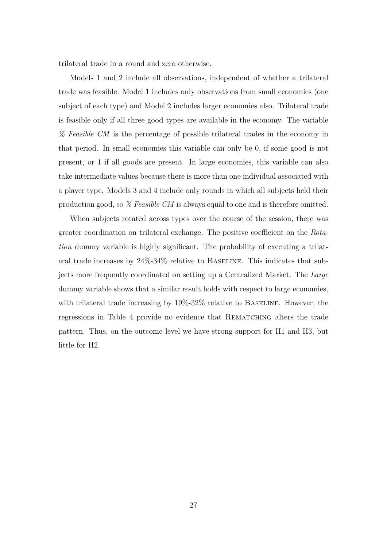trilateral trade in a round and zero otherwise.

Models 1 and 2 include all observations, independent of whether a trilateral trade was feasible. Model 1 includes only observations from small economies (one subject of each type) and Model 2 includes larger economies also. Trilateral trade is feasible only if all three good types are available in the economy. The variable *% Feasible CM* is the percentage of possible trilateral trades in the economy in that period. In small economies this variable can only be 0, if some good is not present, or 1 if all goods are present. In large economies, this variable can also take intermediate values because there is more than one individual associated with a player type. Models 3 and 4 include only rounds in which all subjects held their production good, so *% Feasible CM* is always equal to one and is therefore omitted.

When subjects rotated across types over the course of the session, there was greater coordination on trilateral exchange. The positive coefficient on the *Rotation* dummy variable is highly significant. The probability of executing a trilateral trade increases by 24%-34% relative to Baseline. This indicates that subjects more frequently coordinated on setting up a Centralized Market. The *Large* dummy variable shows that a similar result holds with respect to large economies, with trilateral trade increasing by  $19\%$ -32% relative to BASELINE. However, the regressions in Table 4 provide no evidence that REMATCHING alters the trade pattern. Thus, on the outcome level we have strong support for H1 and H3, but little for H2.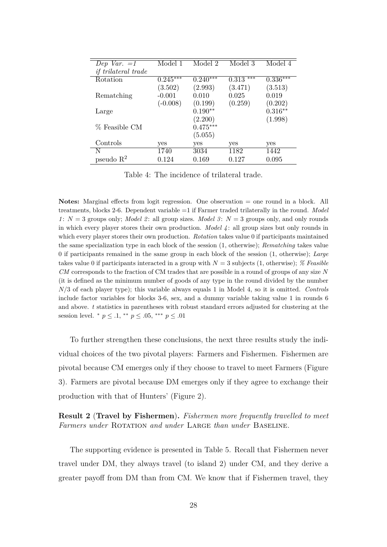| Dep Var. $=1$              | Model 1    | Model 2               | Model 3                   | Model 4    |
|----------------------------|------------|-----------------------|---------------------------|------------|
| <i>if trilateral trade</i> |            |                       |                           |            |
| Rotation                   | $0.245***$ | $0.24\overline{0***}$ | ***<br>$\overline{0.3}13$ | $0.336***$ |
|                            | (3.502)    | (2.993)               | (3.471)                   | (3.513)    |
| Rematching                 | $-0.001$   | 0.010                 | 0.025                     | 0.019      |
|                            | $(-0.008)$ | (0.199)               | (0.259)                   | (0.202)    |
| Large                      |            | $0.190**$             |                           | $0.316**$  |
|                            |            | (2.200)               |                           | (1.998)    |
| % Feasible CM              |            | $0.475***$            |                           |            |
|                            |            | (5.055)               |                           |            |
| Controls                   | yes        | yes                   | yes                       | yes        |
| N                          | 1740       | 3034                  | 1182                      | 1442       |
| pseudo $R^2$               | 0.124      | 0.169                 | 0.127                     | 0.095      |

Table 4: The incidence of trilateral trade.

**Notes:** Marginal effects from logit regression. One observation = one round in a block. All treatments, blocks 2-6. Dependent variable =1 if Farmer traded trilaterally in the round. *Model 1* :  $N = 3$  groups only; *Model 2* : all group sizes. *Model 3* :  $N = 3$  groups only, and only rounds in which every player stores their own production. *Model 4* : all group sizes but only rounds in which every player stores their own production. *Rotation* takes value 0 if participants maintained the same specialization type in each block of the session (1, otherwise); *Rematching* takes value 0 if participants remained in the same group in each block of the session (1, otherwise); *Large* takes value 0 if participants interacted in a group with *N* = 3 subjects (1, otherwise); *% Feasible CM* corresponds to the fraction of CM trades that are possible in a round of groups of any size *N* (it is defined as the minimum number of goods of any type in the round divided by the number *N/*3 of each player type); this variable always equals 1 in Model 4, so it is omitted. *Controls* include factor variables for blocks 3-6, sex, and a dummy variable taking value 1 in rounds 6 and above. *t* statistics in parentheses with robust standard errors adjusted for clustering at the session level. \*  $p \leq .1$ , \*\*  $p \leq .05$ , \*\*\*  $p \leq .01$ 

To further strengthen these conclusions, the next three results study the individual choices of the two pivotal players: Farmers and Fishermen. Fishermen are pivotal because CM emerges only if they choose to travel to meet Farmers (Figure 3). Farmers are pivotal because DM emerges only if they agree to exchange their production with that of Hunters' (Figure 2).

**Result 2** (**Travel by Fishermen**)**.** *Fishermen more frequently travelled to meet Farmers under* Rotation *and under* Large *than under* Baseline*.*

The supporting evidence is presented in Table 5. Recall that Fishermen never travel under DM, they always travel (to island 2) under CM, and they derive a greater payoff from DM than from CM. We know that if Fishermen travel, they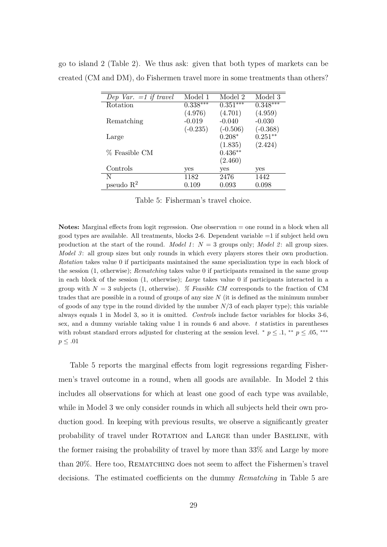| Dep Var. $=1$ if travel | Model 1    | Model 2    | Model 3    |
|-------------------------|------------|------------|------------|
| Rotation                | $0.338***$ | $0.351***$ | $0.348***$ |
|                         | (4.976)    | (4.701)    | (4.959)    |
| Rematching              | $-0.019$   | $-0.040$   | $-0.030$   |
|                         | $(-0.235)$ | $(-0.506)$ | $(-0.368)$ |
| Large                   |            | $0.208*$   | $0.251**$  |
|                         |            | (1.835)    | (2.424)    |
| % Feasible CM           |            | $0.436**$  |            |
|                         |            | (2.460)    |            |
| Controls                | yes        | yes        | yes        |
| N                       | 1182       | 2476       | 1442       |
| pseudo $R^2$            | 0.109      | 0.093      | 0.098      |

go to island 2 (Table 2). We thus ask: given that both types of markets can be created (CM and DM), do Fishermen travel more in some treatments than others?

Table 5: Fisherman's travel choice.

**Notes:** Marginal effects from logit regression. One observation = one round in a block when all good types are available. All treatments, blocks 2-6. Dependent variable =1 if subject held own production at the start of the round. *Model 1* : *N* = 3 groups only; *Model 2* : all group sizes. *Model 3*: all group sizes but only rounds in which every players stores their own production. *Rotation* takes value 0 if participants maintained the same specialization type in each block of the session (1, otherwise); *Rematching* takes value 0 if participants remained in the same group in each block of the session (1, otherwise); *Large* takes value 0 if participants interacted in a group with  $N = 3$  subjects (1, otherwise). *% Feasible CM* corresponds to the fraction of CM trades that are possible in a round of groups of any size *N* (it is defined as the minimum number of goods of any type in the round divided by the number *N/*3 of each player type); this variable always equals 1 in Model 3, so it is omitted. *Controls* include factor variables for blocks 3-6, sex, and a dummy variable taking value 1 in rounds 6 and above. *t* statistics in parentheses with robust standard errors adjusted for clustering at the session level.  $*$  *p*  $\leq$  *.*1,  $*$  *p*  $\leq$  *.05,*  $**$ *p* ≤ *.*01

Table 5 reports the marginal effects from logit regressions regarding Fishermen's travel outcome in a round, when all goods are available. In Model 2 this includes all observations for which at least one good of each type was available, while in Model 3 we only consider rounds in which all subjects held their own production good. In keeping with previous results, we observe a significantly greater probability of travel under Rotation and Large than under Baseline, with the former raising the probability of travel by more than 33% and Large by more than 20%. Here too, REMATCHING does not seem to affect the Fishermen's travel decisions. The estimated coefficients on the dummy *Rematching* in Table 5 are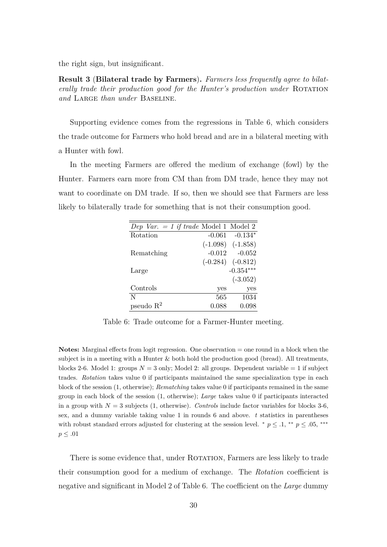the right sign, but insignificant.

**Result 3** (**Bilateral trade by Farmers**)**.** *Farmers less frequently agree to bilaterally trade their production good for the Hunter's production under* ROTATION *and* Large *than under* Baseline*.*

Supporting evidence comes from the regressions in Table 6, which considers the trade outcome for Farmers who hold bread and are in a bilateral meeting with a Hunter with fowl.

In the meeting Farmers are offered the medium of exchange (fowl) by the Hunter. Farmers earn more from CM than from DM trade, hence they may not want to coordinate on DM trade. If so, then we should see that Farmers are less likely to bilaterally trade for something that is not their consumption good.

| Dep Var. $= 1$ if trade Model 1 Model 2 |          |                       |
|-----------------------------------------|----------|-----------------------|
| Rotation                                | $-0.061$ | $-0.134*$             |
|                                         |          | $(-1.098)$ $(-1.858)$ |
| Rematching                              | $-0.012$ | $-0.052$              |
|                                         |          | $(-0.284)$ $(-0.812)$ |
| Large                                   |          | $-0.354***$           |
|                                         |          | $(-3.052)$            |
| Controls                                | yes      | yes                   |
| N                                       | 565      | 1034                  |
| pseudo $R^2$                            | 0.088    | 0.098                 |

Table 6: Trade outcome for a Farmer-Hunter meeting.

**Notes:** Marginal effects from logit regression. One observation = one round in a block when the subject is in a meeting with a Hunter  $\&$  both hold the production good (bread). All treatments, blocks 2-6. Model 1: groups  $N = 3$  only; Model 2: all groups. Dependent variable  $= 1$  if subject trades. *Rotation* takes value 0 if participants maintained the same specialization type in each block of the session (1, otherwise); *Rematching* takes value 0 if participants remained in the same group in each block of the session (1, otherwise); *Large* takes value 0 if participants interacted in a group with  $N = 3$  subjects (1, otherwise). *Controls* include factor variables for blocks 3-6, sex, and a dummy variable taking value 1 in rounds 6 and above. *t* statistics in parentheses with robust standard errors adjusted for clustering at the session level.  $p \leq 0.1$ ,  $p \leq 0.05$ ,  $p \leq 0.05$ *p* ≤ *.*01

There is some evidence that, under ROTATION, Farmers are less likely to trade their consumption good for a medium of exchange. The *Rotation* coefficient is negative and significant in Model 2 of Table 6. The coefficient on the *Large* dummy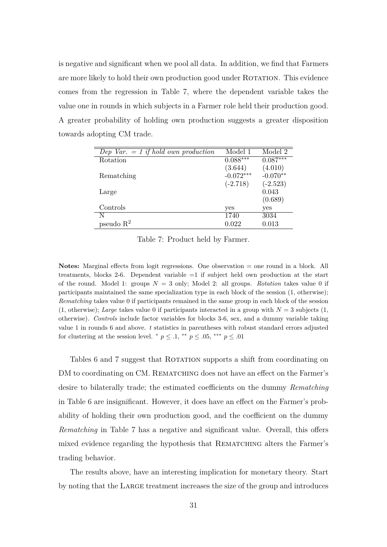is negative and significant when we pool all data. In addition, we find that Farmers are more likely to hold their own production good under ROTATION. This evidence comes from the regression in Table 7, where the dependent variable takes the value one in rounds in which subjects in a Farmer role held their production good. A greater probability of holding own production suggests a greater disposition towards adopting CM trade.

| Dep Var. $= 1$ if hold own production | Model 1     | Model 2    |
|---------------------------------------|-------------|------------|
| Rotation                              | $0.088***$  | $0.087***$ |
|                                       | (3.644)     | (4.010)    |
| Rematching                            | $-0.072***$ | $-0.070**$ |
|                                       | $(-2.718)$  | $(-2.523)$ |
| Large                                 |             | 0.043      |
|                                       |             | (0.689)    |
| Controls                              | yes         | yes        |
| N                                     | 1740        | 3034       |
| pseudo $R^2$                          | 0.022       | 0.013      |

Table 7: Product held by Farmer.

**Notes:** Marginal effects from logit regressions. One observation = one round in a block. All treatments, blocks 2-6. Dependent variable =1 if subject held own production at the start of the round. Model 1: groups  $N = 3$  only; Model 2: all groups. *Rotation* takes value 0 if participants maintained the same specialization type in each block of the session (1, otherwise); *Rematching* takes value 0 if participants remained in the same group in each block of the session  $(1, \text{otherwise})$ ; *Large* takes value 0 if participants interacted in a group with  $N = 3$  subjects  $(1, \text{otherwise})$ otherwise). *Controls* include factor variables for blocks 3-6, sex, and a dummy variable taking value 1 in rounds 6 and above. *t* statistics in parentheses with robust standard errors adjusted for clustering at the session level. \*  $p \leq .1$ , \*\*  $p \leq .05$ , \*\*\*  $p \leq .01$ 

Tables 6 and 7 suggest that ROTATION supports a shift from coordinating on DM to coordinating on CM. REMATCHING does not have an effect on the Farmer's desire to bilaterally trade; the estimated coefficients on the dummy *Rematching* in Table 6 are insignificant. However, it does have an effect on the Farmer's probability of holding their own production good, and the coefficient on the dummy *Rematching* in Table 7 has a negative and significant value. Overall, this offers mixed evidence regarding the hypothesis that REMATCHING alters the Farmer's trading behavior.

The results above, have an interesting implication for monetary theory. Start by noting that the Large treatment increases the size of the group and introduces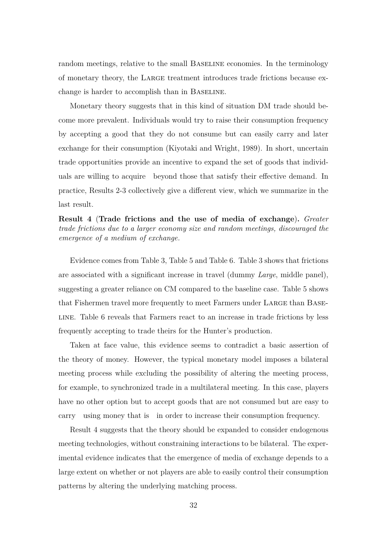random meetings, relative to the small BASELINE economies. In the terminology of monetary theory, the Large treatment introduces trade frictions because exchange is harder to accomplish than in Baseline.

Monetary theory suggests that in this kind of situation DM trade should become more prevalent. Individuals would try to raise their consumption frequency by accepting a good that they do not consume but can easily carry and later exchange for their consumption (Kiyotaki and Wright, 1989). In short, uncertain trade opportunities provide an incentive to expand the set of goods that individuals are willing to acquire beyond those that satisfy their effective demand. In practice, Results 2-3 collectively give a different view, which we summarize in the last result.

**Result 4** (**Trade frictions and the use of media of exchange**)**.** *Greater trade frictions due to a larger economy size and random meetings, discouraged the emergence of a medium of exchange.*

Evidence comes from Table 3, Table 5 and Table 6. Table 3 shows that frictions are associated with a significant increase in travel (dummy *Large*, middle panel), suggesting a greater reliance on CM compared to the baseline case. Table 5 shows that Fishermen travel more frequently to meet Farmers under Large than Baseline. Table 6 reveals that Farmers react to an increase in trade frictions by less frequently accepting to trade theirs for the Hunter's production.

Taken at face value, this evidence seems to contradict a basic assertion of the theory of money. However, the typical monetary model imposes a bilateral meeting process while excluding the possibility of altering the meeting process, for example, to synchronized trade in a multilateral meeting. In this case, players have no other option but to accept goods that are not consumed but are easy to carry using money that is in order to increase their consumption frequency.

Result 4 suggests that the theory should be expanded to consider endogenous meeting technologies, without constraining interactions to be bilateral. The experimental evidence indicates that the emergence of media of exchange depends to a large extent on whether or not players are able to easily control their consumption patterns by altering the underlying matching process.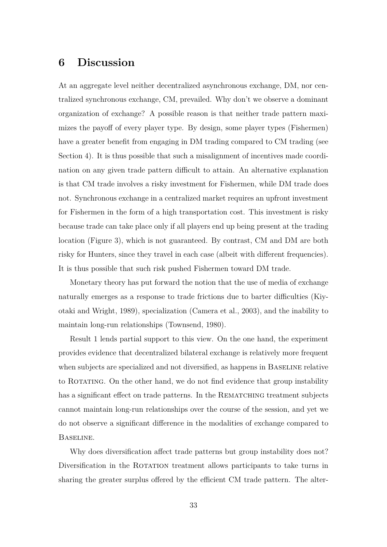# **6 Discussion**

At an aggregate level neither decentralized asynchronous exchange, DM, nor centralized synchronous exchange, CM, prevailed. Why don't we observe a dominant organization of exchange? A possible reason is that neither trade pattern maximizes the payoff of every player type. By design, some player types (Fishermen) have a greater benefit from engaging in DM trading compared to CM trading (see Section 4). It is thus possible that such a misalignment of incentives made coordination on any given trade pattern difficult to attain. An alternative explanation is that CM trade involves a risky investment for Fishermen, while DM trade does not. Synchronous exchange in a centralized market requires an upfront investment for Fishermen in the form of a high transportation cost. This investment is risky because trade can take place only if all players end up being present at the trading location (Figure 3), which is not guaranteed. By contrast, CM and DM are both risky for Hunters, since they travel in each case (albeit with different frequencies). It is thus possible that such risk pushed Fishermen toward DM trade.

Monetary theory has put forward the notion that the use of media of exchange naturally emerges as a response to trade frictions due to barter difficulties (Kiyotaki and Wright, 1989), specialization (Camera et al., 2003), and the inability to maintain long-run relationships (Townsend, 1980).

Result 1 lends partial support to this view. On the one hand, the experiment provides evidence that decentralized bilateral exchange is relatively more frequent when subjects are specialized and not diversified, as happens in BASELINE relative to Rotating. On the other hand, we do not find evidence that group instability has a significant effect on trade patterns. In the REMATCHING treatment subjects cannot maintain long-run relationships over the course of the session, and yet we do not observe a significant difference in the modalities of exchange compared to Baseline.

Why does diversification affect trade patterns but group instability does not? Diversification in the ROTATION treatment allows participants to take turns in sharing the greater surplus offered by the efficient CM trade pattern. The alter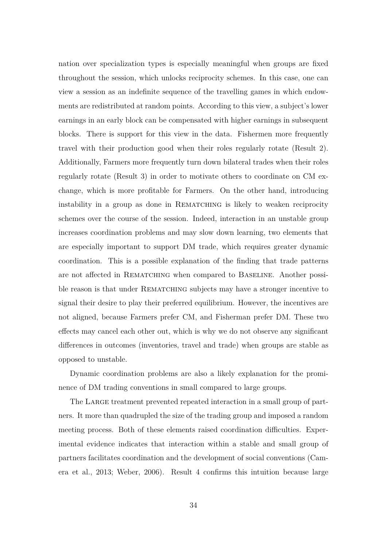nation over specialization types is especially meaningful when groups are fixed throughout the session, which unlocks reciprocity schemes. In this case, one can view a session as an indefinite sequence of the travelling games in which endowments are redistributed at random points. According to this view, a subject's lower earnings in an early block can be compensated with higher earnings in subsequent blocks. There is support for this view in the data. Fishermen more frequently travel with their production good when their roles regularly rotate (Result 2). Additionally, Farmers more frequently turn down bilateral trades when their roles regularly rotate (Result 3) in order to motivate others to coordinate on CM exchange, which is more profitable for Farmers. On the other hand, introducing instability in a group as done in REMATCHING is likely to weaken reciprocity schemes over the course of the session. Indeed, interaction in an unstable group increases coordination problems and may slow down learning, two elements that are especially important to support DM trade, which requires greater dynamic coordination. This is a possible explanation of the finding that trade patterns are not affected in Rematching when compared to Baseline. Another possible reason is that under REMATCHING subjects may have a stronger incentive to signal their desire to play their preferred equilibrium. However, the incentives are not aligned, because Farmers prefer CM, and Fisherman prefer DM. These two effects may cancel each other out, which is why we do not observe any significant differences in outcomes (inventories, travel and trade) when groups are stable as opposed to unstable.

Dynamic coordination problems are also a likely explanation for the prominence of DM trading conventions in small compared to large groups.

The Large treatment prevented repeated interaction in a small group of partners. It more than quadrupled the size of the trading group and imposed a random meeting process. Both of these elements raised coordination difficulties. Experimental evidence indicates that interaction within a stable and small group of partners facilitates coordination and the development of social conventions (Camera et al., 2013; Weber, 2006). Result 4 confirms this intuition because large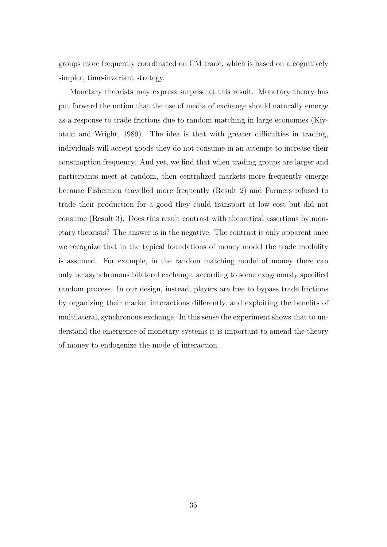groups more frequently coordinated on CM trade, which is based on a cognitively simpler, time-invariant strategy.

Monetary theorists may express surprise at this result. Monetary theory has put forward the notion that the use of media of exchange should naturally emerge as a response to trade frictions due to random matching in large economies (Kiyotaki and Wright, 1989). The idea is that with greater difficulties in trading, individuals will accept goods they do not consume in an attempt to increase their consumption frequency. And yet, we find that when trading groups are larger and participants meet at random, then centralized markets more frequently emerge because Fishermen travelled more frequently (Result 2) and Farmers refused to trade their production for a good they could transport at low cost but did not consume (Result 3). Does this result contrast with theoretical assertions by monetary theorists? The answer is in the negative. The contrast is only apparent once we recognize that in the typical foundations of money model the trade modality is assumed. For example, in the random matching model of money there can only be asynchronous bilateral exchange, according to some exogenously specified random process. In our design, instead, players are free to bypass trade frictions by organizing their market interactions differently, and exploiting the benefits of multilateral, synchronous exchange. In this sense the experiment shows that to understand the emergence of monetary systems it is important to amend the theory of money to endogenize the mode of interaction.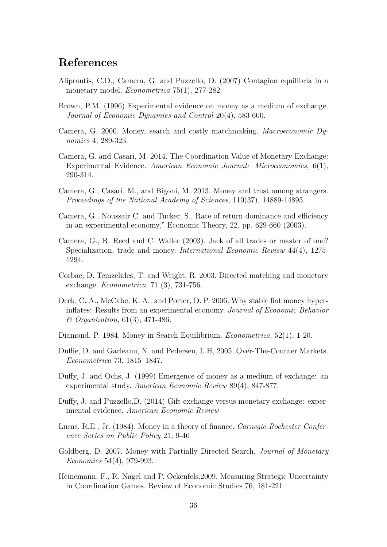# **References**

- Aliprantis, C.D., Camera, G. and Puzzello, D. (2007) Contagion equilibria in a monetary model. *Econometrica* 75(1), 277-282.
- Brown, P.M. (1996) Experimental evidence on money as a medium of exchange. *Journal of Economic Dynamics and Control* 20(4), 583-600.
- Camera, G. 2000. Money, search and costly matchmaking. *Macroeconomic Dynamics* 4, 289-323.
- Camera, G. and Casari, M. 2014. The Coordination Value of Monetary Exchange: Experimental Evidence. *American Economic Journal: Microeconomics*, 6(1), 290-314.
- Camera, G., Casari, M., and Bigoni, M. 2013. Money and trust among strangers. *Proceedings of the National Academy of Sciences*, 110(37), 14889-14893.
- Camera, G., Noussair C. and Tucker, S., Rate of return dominance and efficiency in an experimental economy," Economic Theory, 22, pp. 629-660 (2003).
- Camera, G., R. Reed and C. Waller (2003). Jack of all trades or master of one? Specialization, trade and money. *International Economic Review* 44(4), 1275- 1294.
- Corbae, D. Temzelides, T. and Wright, R. 2003. Directed matching and monetary exchange. *Econometrica*, 71 (3), 731-756.
- Deck, C. A., McCabe, K. A., and Porter, D. P. 2006. Why stable fiat money hyperinflates: Results from an experimental economy. *Journal of Economic Behavior & Organization*, 61(3), 471-486.
- Diamond, P. 1984. Money in Search Equilibrium. *Econometrica*, 52(1), 1-20.
- Duffie, D. and Garleanu, N. and Pedersen, L.H, 2005. Over-The-Counter Markets. *Econometrica* 73, 1815 1847.
- Duffy, J. and Ochs, J. (1999) Emergence of money as a medium of exchange: an experimental study. *American Economic Review* 89(4), 847-877.
- Duffy, J. and Puzzello,D. (2014) Gift exchange versus monetary exchange: experimental evidence. *American Economic Review*
- Lucas, R.E., Jr. (1984). Money in a theory of finance. *Carnegie-Rochester Conference Series on Public Policy* 21, 9-46
- Goldberg, D. 2007. Money with Partially Directed Search, *Journal of Monetary Economics* 54(4), 979-993.
- Heinemann, F., R. Nagel and P. Ockenfels.2009. Measuring Strategic Uncertainty in Coordination Games. Review of Economic Studies 76, 181-221